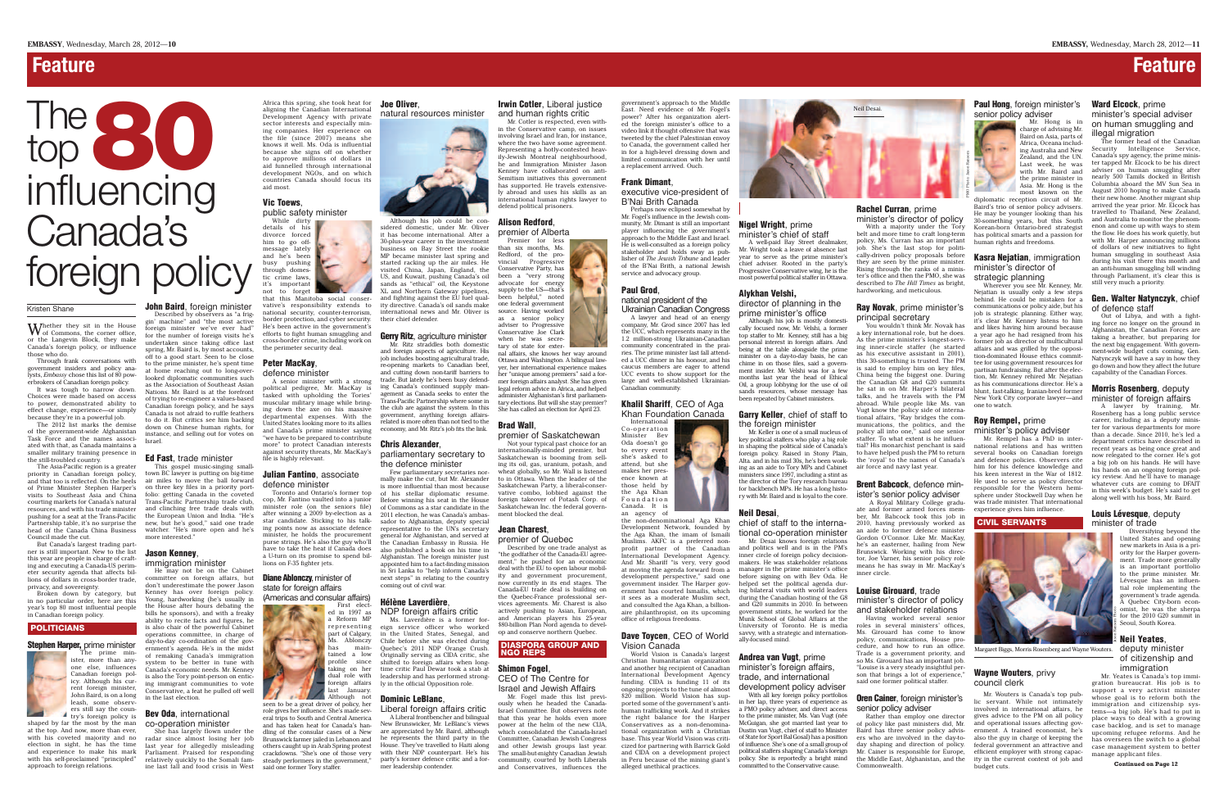Whether they sit in the House<br>of Commons, the corner office, or the Langevin Block, they make Canada's foreign policy, or influence those who do.

Through frank conversations with government insiders and policy analysts, *Embassy* chose this list of 80 powerbrokers of Canadian foreign policy.

It was tough to narrow down. Choices were made based on access to power, demonstrated ability to effect change, experience—or simply because they're in a powerful job.

The 2012 list marks the demise of the government-wide Afghanistan Task Force and the names associated with that, as Canada maintains a smaller military training presence in the still-troubled country.

The Asia-Pacific region is a greater priority in Canadian foreign policy, and that too is reflected. On the heels of Prime Minister Stephen Harper's visits to Southeast Asia and China courting markets for Canada's natural resources, and with his trade minister pushing for a seat at the Trans-Pacific Partnership table, it's no surprise the head of the Canada China Business Council made the cut.

John Baird, foreign minister Described by observers as "a frig-

But Canada's largest trading partner is still important. New to the list this year are people in charge of crafting and executing a Canada-US perimeter security agenda that affects billions of dollars in cross-border trade, privacy, and sovereignty.

Broken down by category, but in no particular order, here are this year's top 80 most influential people in Canadian foreign policy.

### POLITICIANS

### Stephen Harper, prime minister

The prime minister, more than anyone else, influences Ianadian foreign icy. Although his current foreign minister, John Baird, is on a long leash, some observers still say the country's foreign policy is shaped by far the most by the man

at the top. And now, more than ever, with his coveted majority and no election in sight, he has the time and experience to make his mark with his self-proclaimed "principled" approach to foreign relations.

### **Bev Oda**, international co-operation minister

gin' machine" and "the most active foreign minister we've ever had" for the number of foreign visits he's undertaken since taking office last spring, Mr. Baird is, by most accounts, off to a good start. Seen to be close to the prime minister, he's spent time at home reaching out to long-overlooked diplomatic communities such as the Association of Southeast Asian Nations. Mr. Baird is at the forefront of trying to re-engineer a values-based Canadian foreign policy, and he says Canada is not afraid to ruffle feathers to do it. But critics see him backing down on Chinese human rights, for instance, and selling out for votes on Israel.

### Ed Fast, trade minister

This gospel music-singing smalltown BC lawyer is putting on big-time air miles to move the ball forward on three key files in a priority portfolio: getting Canada in the coveted Trans-Pacific Partnership trade club, and clinching free trade deals with the European Union and India. "He's new, but he's good," said one trade watcher. "He's more open and he's more interested."

### Jason Kenney, immigration minister

He may not be on the Cabinet

She has largely flown under the dling of the consular cases of a New are appreciated by Mr. Baird, although radar since almost losing her job Brunswick farmer jailed in Lebanon and he represents the third party in the Committee, Canadian Jewish Congress last year for allegedly misleading others caught up in Arab Spring protest House. They've travelled to Haiti along and other Jewish groups last year. seen to be a great driver of policy, her role gives her influence. She's made several trips to South and Central America and has taken heat for Canada's hansteady performers in the government,"

 $\mathcal{L}$ 

committee on foreign affairs, but don't underestimate the power Jason Kenney has over foreign policy. Young, hardworking (he's usually in the House after hours debating the bills he sponsors), and with a freaky ability to recite facts and figures, he s also chair of the powerful Cabinet operations committee, in charge of day-to-day co-ordination of the government's agenda. He's in the midst of remaking Canada's immigration system to be better in tune with Canada's economic needs. Mr. Kenney is also the Tory point-person on enticing immigrant communities to vote Conservative, a feat he pulled off well in the last election.

NDP foreign affairs critic Ms. Laverdière is a former foreign service officer who worked in the United States, Senegal, and

Africa this spring, she took heat for aligning the Canadian International Development Agency with private sector interests and especially mining companies. Her experience on the file (since 2007) means she knows it well. Ms. Oda is influential because she signs off on whether to approve millions of dollars in aid funnelled through international development NGOs, and on which countries Canada should focus its aid most.

### Vic Toews,

public safety minister While dirty

### **Irwin Cotler, Liberal justice** and human rights critic

details of his divorce forced him to go offmessage lately and he's been busy pushing through domestic crime laws,<br>it's important important not to forget

that this Manitoba social conservative's responsibility extends to national security, counter-terrorism, border protection, and cyber security. He's been active in the government's efforts to fight human smuggling and cross-border crime, including work on the perimeter security deal.

### Peter MacKay, defence minister

A senior minister with a strong political pedigree, Mr. MacKay is tasked with upholding the Tories' muscular military image while bringing down the axe on his massive departmental expenses. With the United States looking more to its allies and Canada's prime minister saying "we have to be prepared to contribute more" to protect Canadian interests against security threats, Mr. MacKay's file is highly relevant.

Parliament. Praised for responding relatively quickly to the Somali famine last fall and food crisis in West said one former Tory staffer.

### Julian Fantino, associate defence minister

Toronto and Ontario's former top cop, Mr. Fantino vaulted into a junior minister role (on the seniors file) after winning a 2009 by-election as a star candidate. Sticking to his talking points now as associate defence minister, he holds the procurement purse strings. He's also the guy who'll have to take the heat if Canada does a U-turn on its promise to spend billions on F-35 fighter jets.

### **Diane Ablonczy, minister of** state for foreign affairs

(Americas and consular affairs)

First elected in 1997 as a Reform MP representing part of Calgary, Ms. Ablonczy has maintained a low last January. Although not

### Joe Oliver,

natural resources minister



Although his job could be considered domestic, under Mr. Oliver it has become international. After a 30-plus-year career in the investment business on Bay Street the rookie MP became minister last spring and started racking up the air miles. He visited China, Japan, England, the US, and Kuwait, pushing Canada's oil sands as "ethical" oil, the Keystone XL and Northern Gateway pipelines, and fighting against the EU fuel quality directive. Canada's oil sands make international news and Mr. Oliver is their chief defender.

### Gerry Ritz, agriculture minister

### Dave Toycen, CEO of World Vision Canada

### **Nigel Wright**, prime minister's chief of staff

profile since shifted to foreign affairs when longtaking on her time critic Paul Dewar took a stab at dual role with leadership and has performed strongforeign affairs ly in the official Opposition role. Chile before she was elected during Quebec's 2011 NDP Orange Crush. Originally serving as CIDA critic, she

Mr. Ritz straddles both domestic and foreign aspects of agriculture. His job includes boosting agricultural trade, re-opening markets to Canadian beef, and cutting down non-tariff barriers to trade. But lately he's been busy defending Canada's continued supply management as Canada seeks to enter the Trans-Pacific Partnership where some in the club are against the system. In this government, anything foreign affairsrelated is more often than not tied to the economy, and Mr. Ritz's job fits the link.

### Chris Alexander,

parliamentary secretary to the defence minister

crackdowns. "She's one of those very with their NDP counterpart. He's his The small-but-mighty Canadian Jewish A Liberal frontbencher and bilingual New Brunswicker, Mr. LeBlanc's views party's former defence critic and a for-community, courted by both Liberals mer leadership contender.

Few parliamentary secretaries normally make the cut, but Mr. Alexander is more influential than most because of his stellar diplomatic resume. Before winning his seat in the House of Commons as a star candidate in the 2011 election, he was Canada's ambassador to Afghanistan, deputy special representative to the UN's secretary general for Afghanistan, and served at the Canadian Embassy in Russia. He also published a book on his time in Afghanistan. The foreign minister just appointed him to a fact-finding mission in Sri Lanka to "help inform Canada's next steps" in relating to the country coming out of civil war.

### Hélène Laverdière,

### Dominic LeBlanc,

Liberal foreign affairs critic

Mr. Cotler is respected, even within the Conservative camp, on issues involving Israel and Iran, for instance, where the two have some agreement. Representing a hotly-contested heavily-Jewish Montreal neighbourhood, he and Immigration Minister Jason Kenney have collaborated on anti-Semitism initiatives this government has supported. He travels extensively abroad and uses his skills as an international human rights lawyer to defend political prisoners.

### **Oren Cainer, foreign minister's** senior policy adviser

### Alison Redford,

premier of Alberta

### Paul Hong, foreign minister's senior policy adviser Mr. Hong is in



Premier for less than six months, Ms. Redford, of the provincial Progressive Conservative Party, has been a "very strong advocate for energy supply to the US—that's been helpful," noted one federal government source. Having worked as a senior policy adviser to Progressive Conservative Joe Clark when he was secretary of state for exter-

nal affairs, she knows her way around Ottawa and Washington. A bilingual lawyer, her international experience makes her "unique among premiers" said a former foreign affairs analyst. She has given legal reform advice in Africa, and helped administer Afghanistan's first parliamentary elections. But will she stay premier? She has called an election for April 23.

### Brad Wall,

premier of Saskatchewan Not your typical past choice for an internationally-minded premier, but Saskatchewan is booming from selling its oil, gas, uranium, potash, and wheat globally, so Mr. Wall is listened to in Ottawa. When the leader of the Saskatchewan Party, a liberal-conservative combo, lobbied against the foreign takeover of Potash Corp. of Saskatchewan Inc. the federal government blocked the deal.

### Wayne Wouters, privy council clerk

### Jean Charest,

premier of Quebec Described by one trade analyst as

### Ward Elcock, prime minister's special adviser on human smuggling and illegal migration

"the godfather of the Canada-EU agreement," he pushed for an economic deal with the EU to open labour mobility and government procurement, now currently in its end stages. The Canada-EU trade deal is building on the Quebec-France professional services agreements. Mr. Charest is also actively pushing to Asian, European, and American players his 25-year \$80-billion Plan Nord agenda to develop and conserve northern Quebec.

## IIASPORA GROUP AND<br>IGO REPS

### Shimon Fogel, CEO of The Centre for

Israel and Jewish Affairs Mr. Fogel made this list previously when he headed the Canada-Israel Committee. But observers note that this year he holds even more power at the helm of the new CIJA, which consolidated the Canada-Israel and Conservatives, influences the

## **Feature Feature Feature**

government's approach to the Middle East. Need evidence of Mr. Fogel's power? After his organization alerted the foreign minister's office to a video link it thought offensive that was tweeted by the chief Palestinian envoy to Canada, the government called her in for a high-level dressing down and limited communication with her until a replacement arrived. Ouch.

# The 80 influencing Canada's foreign policy

Frank Dimant,

### executive vice-president of B'Nai Brith Canada

Perhaps now eclipsed somewhat by Mr. Fogel's influence in the Jewish community, Mr. Dimant is still an important player influencing the government's approach to the Middle East and Israel. He is well-consulted as a foreign policy stakeholder and holds sway as publisher of *The Jewish Tribune* and leader of the B'Nai Brith, a national Jewish service and advocacy group.

Paul Grod,

### national president of the

Ukrainian Canadian Congress

A lawyer and head of an energy company, Mr. Grod since 2007 has led the UCC, which represents many in the 1.2 million-strong Ukrainian-Canadian community concentrated in the prairies. The prime minister last fall attended a UCC dinner in his honour, and his caucus members are eager to attend UCC events to show support for the large and well-established Ukrainian-Canadian community.

### Khalil Shariff, CEO of Aga Khan Foundation Canada



International Co-operation Minister Bev Oda doesn't go to every event she's asked to attend, but she makes her presence known at those held by the Aga Khan F o u n d a t i o n Canada. It is an agency of office of religious freedoms.

the non-denominational Aga Khan Development Network, founded by the Aga Khan, the imam of Ismail Muslims. AKFC is a preferred nonprofit partner of the Canadian International Development Agency. And Mr. Shariff "is very, very good at moving the agenda forward from a development perspective," said one government insider. The Harper government has courted Ismailis, which it sees as a moderate Muslim sect, and consulted the Aga Khan, a billionaire philanthropist, on its upcoming

World Vision is Canada's largest Christian humanitarian organization and another big recipient of Canadian minister's foreign affairs, International Development Agency funding. CIDA is funding 11 of its ongoing projects to the tune of almost \$20 million. World Vision has supported some of the government's anti-in her lap, three years of experience as human trafficking work. And it strikes the right balance for the Harper Conservatives as a non-denominational organization with a Christian base. This year World Vision was criticized for partnering with Barrick Gold and CIDA on a development project alleged unethical practices.



A well-paid Bay Street dealmaker, Mr. Wright took a leave of absence last year to serve as the prime minister's chief adviser. Rooted in the party's Progressive Conservative wing, he is the most powerful political staffer in Ottawa.

### Alykhan Velshi,

director of planning in the prime minister's office Although his job is mostly domesti-

cally focused now, Mr. Velshi, a former top staffer to Mr. Kenney, still has a big personal interest in foreign affairs. And being at the table alongside the prime minister on a day-to-day basis, he can chime in on those files, said a government insider. Mr. Velshi was for a few months last year the head of Ethical Oil, a group lobbying for the use of oil sands resources, whose message has been repeated by Cabinet ministers.

### **Garry Keller, chief of staff to** the foreign minister

Mr. Keller is one of a small nucleus of key political staffers who play a big role in shaping the political side of Canada's foreign policy. Raised in Stony Plain, Alta. and in his mid 30s, he's been working as an aide to Tory MPs and Cabinet ministers since 1997, including a stint as the director of the Tory research bureau for backbench MPs. He has a long history with Mr. Baird and is loyal to the core.

### Neil Desai,

chief of staff to the international co-operation minister

Mr. Desai knows foreign relations and politics well and is in the PM's inner circle of foreign policy decisionmakers. He was stakeholder relations manager in the prime minister's office before signing on with Bev Oda. He helped set the political agenda during bilateral visits with world leaders during the Canadian hosting of the G8 and G20 summits in 2010. In between vernment stints, he worked for the Munk School of Global Affairs at the University of Toronto. He is media savvy, with a strategic and internationally-focused mind.

### Andrea van Vugt, prime trade, and international development policy adviser

With all key foreign policy portfolios a PMO policy adviser, and direct access to the prime minister, Ms. Van Vugt (née McGuigan, she got married last year to Dustin van Vugt, chief of staff to Minister committed to the Conservative cause.

### Rachel Curran, prime

in Peru because of the mining giant's policy. She is reportedly a bright mind the Middle East, Afghanistan, and the of State for Sport Bal Gosal) has a position ers who are involved in the day-toof influence. She's one of a small group of day shaping and direction of policy. political staffers shaping Canada's foreign Mr. Cainer is responsible for Europe, Rather than employ one director of policy like past ministers did, Mr. Baird has three senior policy advis-Commonwealth.

minister's director of policy With a majority under the Tory

belt and more time to craft long-term policy, Ms. Curran has an important job. She's the last stop for politically-driven policy proposals before they are seen by the prime minister. Rising through the ranks of a minister's office and then the PMO, she was described to *The Hill Times* as bright, hardworking, and meticulous.

### Ray Novak, prime minister's principal secretary

You wouldn't think Mr. Novak has a key international role, but he does. As the prime minister's longest-serving inner-circle staffer (he started as his executive assistant in 2001), this 30-something is trusted. The PM is said to employ him on key files, China being the biggest one. During the Canadian G8 and G20 summits he sat in on Mr. Harper's bilateral talks, and he travels with the PM abroad. While people like Ms. van Vugt know the policy side of international affairs, "Ray bridges the communications, the politics, and the policy all into one," said one senior staffer. To what extent is he influential? His monarchist penchant is said to have helped push the PM to return the 'royal' to the names of Canada's air force and navy last year.

### Brent Babcock, defence minister's senior policy adviser

 A Royal Military College graduate and former armed forces member, Mr. Babcock took this job in 2010, having previously worked as an aide to former defence minister Gordon O'Connor. Like Mr. MacKay, he's an easterner, hailing from New Brunswick. Working with his director, Joe Varner, his senior policy role means he has sway in Mr. MacKay's inner circle.

### Louise Girouard, trade

minister's director of policy and stakeholder relations

Having worked several senior roles in several ministers' offices, Ms. Girouard has come to know policy, communications, House procedure, and how to run an office. Trade is a government priority, and so Ms. Girouard has an important job. "Louise is a very steady insightful person that brings a lot of experience. said one former political staffer.

charge of advising Mr. Baird on Asia, parts of Africa, Oceana including Australia and New Zealand, and the UN. Last week, he was with Mr. Baird and the prime minister in Asia. Mr. Hong is the most known on the

diplomatic reception circuit of Mr. Baird's trio of senior policy advisers. He may be younger looking than his 30-something years, but this South Korean-born Ontario-bred strategist has political smarts and a passion for human rights and freedoms.

### Kasra Nejatian, immigration minister's director of strategic planning

Wherever you see Mr. Kenney, Mr. Nejatian is usually only a few steps behind. He could be mistaken for a communications or policy aide, but his job is strategic planning. Either way, it's clear Mr. Kenney listens to him and likes having him around because a year ago he had resigned from his former job as director of multicultural affairs and was grilled by the opposition-dominated House ethics committee for using government resources for partisan fundraising. But after the election, Mr. Kenney rehired Mr. Nejatian as his communications director. He's a blunt, fast-talking, Iranian-bred former New York City corporate lawyer—and one to watch.

### Roy Rempel, prime minister's policy adviser

Mr. Rempel has a PhD in international relations and has written several books on Canadian foreign and defence policies. Observers cite him for his defence knowledge and his keen interest in the War of 1812. He used to serve as policy director responsible for the Western hemisphere under Stockwell Day when he was trade minister. That international experience gives him influence.

### CIVIL SERVANTS

Mr. Wouters is Canada's top public servant. While not intimately involved in international affairs, he gives advice to the PM on all policy and operational issues affecting government. A trained economist, he's also the guy in charge of keeping the federal government an attractive and efficient employer with strong capacity in the current context of job and budget cuts.

The former head of the Canadian Security Intelligence Service, Canada's spy agency, the prime minister tapped Mr. Elcock to be his direct adviser on human smuggling after nearly 500 Tamils docked in British Columbia aboard the MV Sun Sea in August 2010 hoping to make Canada their new home. Another migrant ship arrived the year prior. Mr. Elcock has travelled to Thailand, New Zealand, and Australia to monitor the phenomenon and come up with ways to stem the flow. He does his work quietly, but with Mr. Harper announcing millions of dollars of new initiatives to fight human smuggling in southeast Asia during his visit there this month and an anti-human smuggling bill winding through Parliament, it's clear this is still very much a priority.

### Gen. Walter Natynczyk, chief of defence staff

Out of Libya, and with a fighting force no longer on the ground in Afghanistan, the Canadian Forces are taking a breather, but preparing for the next big engagement. With government-wide budget cuts coming, Gen. Natynczyk will have a say in how they go down and how they affect the future capability of the Canadian Forces.

### Morris Rosenberg, deputy minister of foreign affairs

A lawyer by training, Mr. Rosenberg has a long public service career, including as a deputy minister for various departments for more than a decade. Since 2010, he's led a department critics have described in recent years as being once great and now relegated to the corner. He's got a big job on his hands. He will have his hands on an ongoing foreign policy review. And he'll have to manage whatever cuts are coming to DFAIT in this week's budget. He's said to get along well with his boss, Mr. Baird.

### Louis Lévesque, deputy minister of trade

Diversifying beyond the United States and opening new markets in Asia is a priority for the Harper government. Trade more generally is an important portfolio to the prime minister. Mr. Lévesque has an influential role implementing the government's trade agenda. A Quebec City-born economist, he was the sherpa for the 2010 G20 summit in Seoul, South Korea.

### Neil Yeates, deputy minister of citizenship and immigration

Mr. Yeates is Canada's top immigration bureaucrat. His job is to support a very activist minister whose goal is to reform both the immigration and citizenship systems—a big job. He's had to put in place ways to deal with a growing case backlog, and is set to manage upcoming refugee reforms. And he has overseen the switch to a global case management system to better manage applicant files.

### Kristen Shane

**Continued on Page 12**





Margaret Biggs, Morris Rosenberg and Wayne Wouters.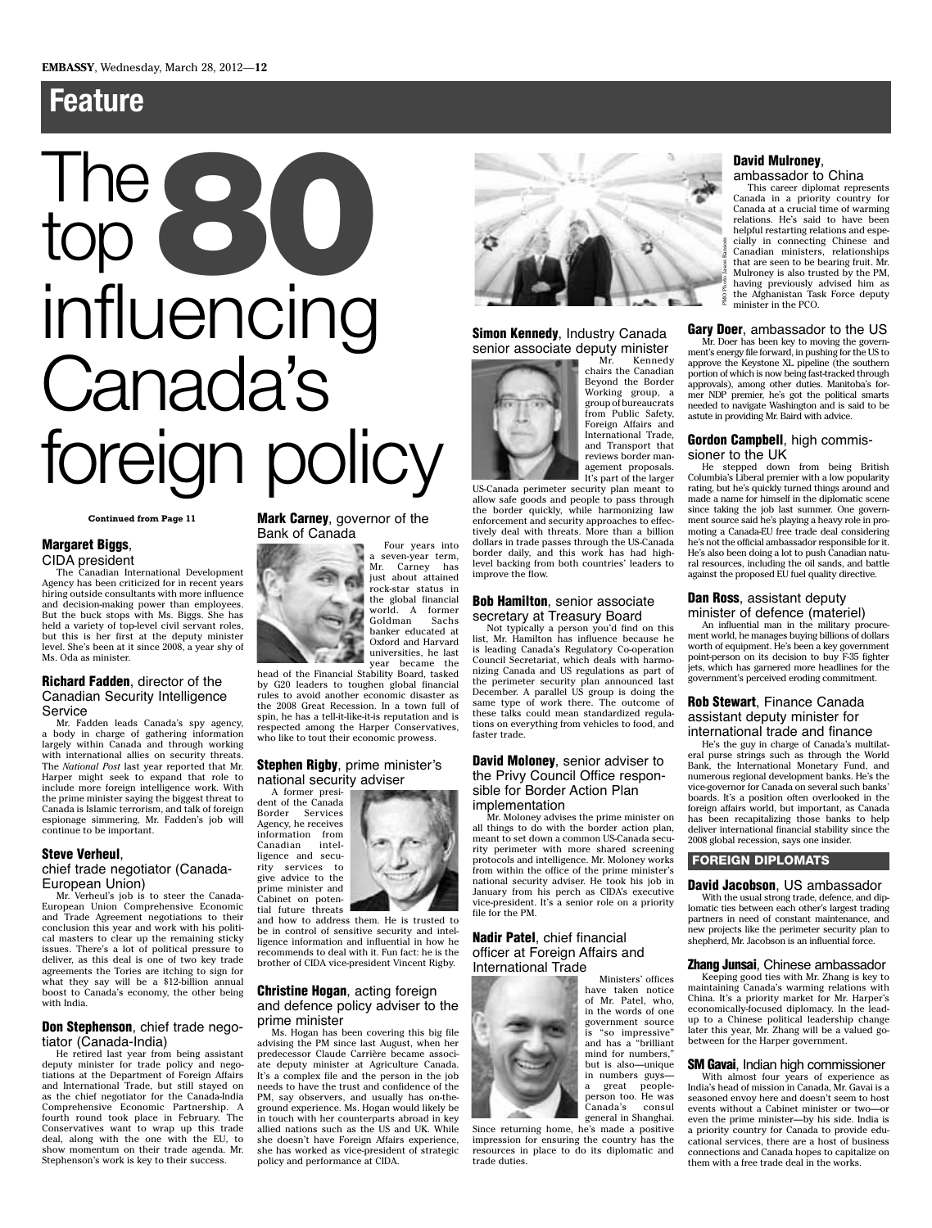# **Feature**

# The The 80<sup>0</sup> influencing Canada's foreign policy

### **Continued from Page 11**

### **Margaret Biggs**,

CIDA president

The Canadian International Development Agency has been criticized for in recent years hiring outside consultants with more influence and decision-making power than employees. But the buck stops with Ms. Biggs. She has held a variety of top-level civil servant roles, but this is her first at the deputy minister level. She's been at it since 2008, a year shy of Ms. Oda as minister.

### **Richard Fadden**, director of the Canadian Security Intelligence Service

Mr. Fadden leads Canada's spy agency, a body in charge of gathering information largely within Canada and through working with international allies on security threats. The *National Post* last year reported that Mr. Harper might seek to expand that role to include more foreign intelligence work. With the prime minister saying the biggest threat to Canada is Islamic terrorism, and talk of foreign espionage simmering, Mr. Fadden's job will continue to be important.

### **Steve Verheul**,

### chief trade negotiator (Canada-European Union)

Mr. Verheul's job is to steer the Canada-European Union Comprehensive Economic and Trade Agreement negotiations to their conclusion this year and work with his political masters to clear up the remaining sticky issues. There's a lot of political pressure to deliver, as this deal is one of two key trade agreements the Tories are itching to sign for what they say will be a \$12-billion annual boost to Canada's economy, the other being with India.

### **Don Stephenson**, chief trade negotiator (Canada-India)

He retired last year from being assistant deputy minister for trade policy and negotiations at the Department of Foreign Affairs and International Trade, but still stayed on as the chief negotiator for the Canada-India Comprehensive Economic Partnership. A fourth round took place in February. The Conservatives want to wrap up this trade deal, along with the one with the EU, to show momentum on their trade agenda. Mr. Stephenson's work is key to their success.

### **Mark Carney**, governor of the Bank of Canada



a seven-year term, Mr. Carney has just about attained rock-star status in the global financial world. A former Goldman Sachs banker educated at Oxford and Harvard universities, he last year became the

Four years into

head of the Financial Stability Board, tasked by G20 leaders to toughen global financial rules to avoid another economic disaster as the 2008 Great Recession. In a town full of spin, he has a tell-it-like-it-is reputation and is respected among the Harper Conservatives, who like to tout their economic prowess.

### **Stephen Rigby**, prime minister's national security adviser

A former president of the Canada Border Services Agency, he receives information from Canadian ligence and security services to give advice to the prime minister and

Cabinet on poten-

tial future threats and how to address them. He is trusted to be in control of sensitive security and intelligence information and influential in how he recommends to deal with it. Fun fact: he is the brother of CIDA vice-president Vincent Rigby.

### **Christine Hogan**, acting foreign and defence policy adviser to the prime minister

Ms. Hogan has been covering this big file advising the PM since last August, when her predecessor Claude Carrière became associate deputy minister at Agriculture Canada. It's a complex file and the person in the job needs to have the trust and confidence of the PM, say observers, and usually has on-theground experience. Ms. Hogan would likely be in touch with her counterparts abroad in key allied nations such as the US and UK. While she doesn't have Foreign Affairs experience, she has worked as vice-president of strategic policy and performance at CIDA.



**Simon Kennedy**, Industry Canada senior associate deputy minister<br>Mr. Kennedy



Kennedy chairs the Canadian Beyond the Border Working group, a group of bureaucrats from Public Safety, Foreign Affairs and International Trade, and Transport that reviews border management proposals. It's part of the larger

US-Canada perimeter security plan meant to allow safe goods and people to pass through the border quickly, while harmonizing law enforcement and security approaches to effectively deal with threats. More than a billion dollars in trade passes through the US-Canada border daily, and this work has had highlevel backing from both countries' leaders to improve the flow.

### **Bob Hamilton**, senior associate secretary at Treasury Board

Not typically a person you'd find on this list, Mr. Hamilton has influence because he is leading Canada's Regulatory Co-operation Council Secretariat, which deals with harmonizing Canada and US regulations as part of the perimeter security plan announced last December. A parallel US group is doing the same type of work there. The outcome of these talks could mean standardized regulations on everything from vehicles to food, and faster trade.

### **David Moloney**, senior adviser to the Privy Council Office responsible for Border Action Plan implementation

Mr. Moloney advises the prime minister on all things to do with the border action plan, meant to set down a common US-Canada security perimeter with more shared screening protocols and intelligence. Mr. Moloney works from within the office of the prime minister's national security adviser. He took his job in January from his perch as CIDA's executive vice-president. It's a senior role on a priority file for the PM.

### **Nadir Patel**, chief financial officer at Foreign Affairs and International Trade



Ministers' offices have taken notice of Mr. Patel, who, in the words of one government source is "so impressive" and has a "brilliant mind for numbers," but is also—unique in numbers guys a great peopleperson too. He was Canada's consul general in Shanghai.

Since returning home, he's made a positive impression for ensuring the country has the resources in place to do its diplomatic and trade duties.

### **David Mulroney**,

ambassador to China

This career diplomat represents Canada in a priority country for Canada at a crucial time of warming relations. He's said to have been helpful restarting relations and especially in connecting Chinese and Canadian ministers, relationships that are seen to be bearing fruit. Mr. Mulroney is also trusted by the PM, having previously advised him as the Afghanistan Task Force deputy minister in the PCO.

**Gary Doer**, ambassador to the US

Mr. Doer has been key to moving the government's energy file forward, in pushing for the US to approve the Keystone XL pipeline (the southern portion of which is now being fast-tracked through approvals), among other duties. Manitoba's former NDP premier, he's got the political smarts needed to navigate Washington and is said to be astute in providing Mr. Baird with advice.

### **Gordon Campbell**, high commissioner to the UK

He stepped down from being British Columbia's Liberal premier with a low popularity rating, but he's quickly turned things around and made a name for himself in the diplomatic scene since taking the job last summer. One government source said he's playing a heavy role in promoting a Canada-EU free trade deal considering he's not the official ambassador responsible for it. He's also been doing a lot to push Canadian natural resources, including the oil sands, and battle against the proposed EU fuel quality directive.

### **Dan Ross**, assistant deputy minister of defence (materiel)

An influential man in the military procurement world, he manages buying billions of dollars worth of equipment. He's been a key government point-person on its decision to buy F-35 fighter jets, which has garnered more headlines for the government's perceived eroding commitment.

### **Rob Stewart**, Finance Canada assistant deputy minister for international trade and finance

He's the guy in charge of Canada's multilateral purse strings such as through the World Bank, the International Monetary Fund, and numerous regional development banks. He's the vice-governor for Canada on several such banks' boards. It's a position often overlooked in the foreign affairs world, but important, as Canada has been recapitalizing those banks to help deliver international financial stability since the 2008 global recession, says one insider.

### **FOREIGN DIPLOMATS**

### **David Jacobson**, US ambassador

With the usual strong trade, defence, and diplomatic ties between each other's largest trading partners in need of constant maintenance, and new projects like the perimeter security plan to shepherd, Mr. Jacobson is an influential force.

### **Zhang Junsai**, Chinese ambassador

Keeping good ties with Mr. Zhang is key to maintaining Canada's warming relations with China. It's a priority market for Mr. Harper's economically-focused diplomacy. In the leadup to a Chinese political leadership change later this year, Mr. Zhang will be a valued gobetween for the Harper government.

### **SM Gavai**, Indian high commissioner

With almost four years of experience as India's head of mission in Canada, Mr. Gavai is a seasoned envoy here and doesn't seem to host events without a Cabinet minister or two—or even the prime minister—by his side. India is a priority country for Canada to provide educational services, there are a host of business connections and Canada hopes to capitalize on them with a free trade deal in the works.